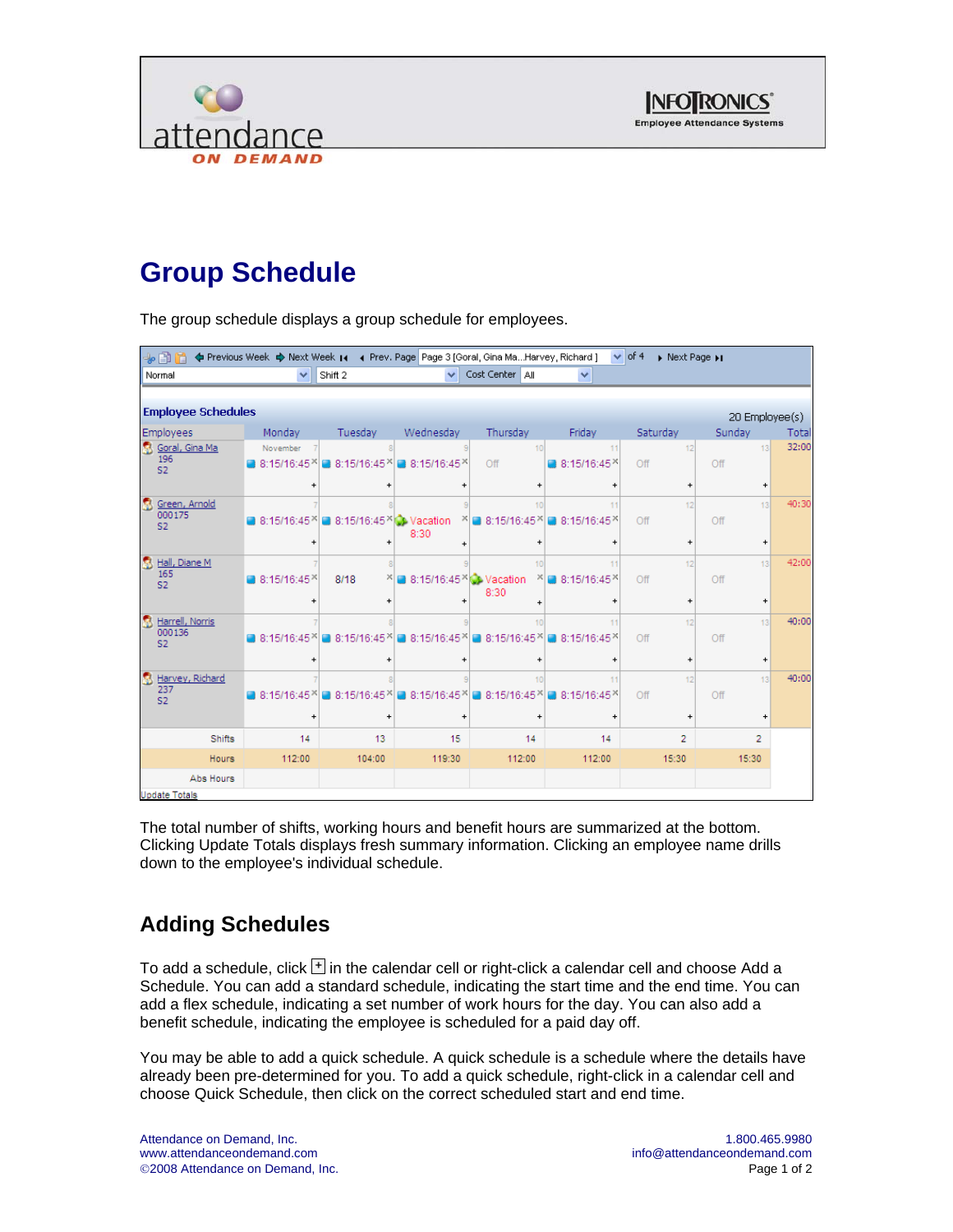



# **Group Schedule**

The group schedule displays a group schedule for employees.

| + 8 h                                       |                        | < Previous Week < Next Week 14 < Prev. Page Page 3 [Goral, Gina MaHarvey, Richard ] |                                     |                                            |                        | $\vee$ of 4<br>> Next Page >>                 |                                               |       |
|---------------------------------------------|------------------------|-------------------------------------------------------------------------------------|-------------------------------------|--------------------------------------------|------------------------|-----------------------------------------------|-----------------------------------------------|-------|
| Normal                                      | ×                      | Shift 2                                                                             | $\checkmark$                        | Cost Center   All                          | ×                      |                                               |                                               |       |
|                                             |                        |                                                                                     |                                     |                                            |                        |                                               |                                               |       |
| <b>Employee Schedules</b>                   |                        |                                                                                     |                                     |                                            |                        |                                               | 20 Employee(s)                                |       |
| <b>Employees</b>                            | Monday                 | Tuesday                                                                             | Wednesday                           | Thursday                                   | Friday                 | Saturday                                      | Sunday                                        | Total |
| Goral, Gina Ma<br>196<br>S <sub>2</sub>     | November<br>8:15/16:45 | ■ 8:15/16:45 ×                                                                      | ■ 8:15/16:45 *                      | 10<br>Off                                  | 11<br>8:15/16:45       | 12<br>Off                                     | 13 <sub>1</sub><br>Off                        | 32:00 |
|                                             |                        |                                                                                     | $\ddot{}$                           | $\ddot{}$                                  |                        | $\ddot{}$                                     | $\ddot{}$                                     |       |
| Green, Arnold<br>000175<br>S <sub>2</sub>   | ■ 8:15/16:45           | 8:15/16:45 \@ Vacation                                                              | 8:30                                | 10<br>$x = 8:15/16:45$<br>$\ddot{}$        | 11<br>■ 8:15/16:45     | 12<br>Off<br>$\ddot{}$                        | 13<br>Off<br>$\ddot{}$                        | 40:30 |
| Hall, Diane M<br>165<br>S <sub>2</sub>      | ■ 8:15/16:45           | 8/18                                                                                | $\ddot{}$<br>8:15/16:45 \\ Vacation | 10<br>8:30                                 | 11<br>$x = 8:15/16:45$ | 12<br>Off                                     | 13<br>Off                                     | 42:00 |
|                                             |                        |                                                                                     |                                     |                                            |                        | $\ddot{}$                                     | $\ddot{}$                                     |       |
| Harrell, Norris<br>000136<br>S <sub>2</sub> |                        | ■ 8:15/16:45 8:15/16:45 ×                                                           | $\ddot{}$                           | 10<br>8:15/16:45 8:15/16:45 8<br>$\ddot{}$ | 11<br>■ 8:15/16:45     | 12<br>Off<br>$\begin{array}{c} + \end{array}$ | 13<br>Off<br>$\begin{array}{c} + \end{array}$ | 40:00 |
| Harvey, Richard                             |                        |                                                                                     |                                     | 10                                         | 11                     | 12                                            | 13                                            | 40:00 |
| 237<br>S <sub>2</sub>                       | 8:15/16:45             | ■ 8:15/16:45                                                                        |                                     | ■ 8:15/16:45 8:15/16:45 ×                  | $8:15/16:45^{\times}$  | Off                                           | Off                                           |       |
|                                             | $\ddot{}$              |                                                                                     | $\ddot{}$                           | $\ddot{}$                                  |                        | $\ddot{}$                                     | $\ddot{}$                                     |       |
| <b>Shifts</b>                               | 14                     | 13                                                                                  | 15                                  | 14                                         | 14                     | 2                                             | $\overline{2}$                                |       |
| Hours                                       | 112:00                 | 104:00                                                                              | 119:30                              | 112:00                                     | 112:00                 | 15:30                                         | 15:30                                         |       |
| Abs Hours                                   |                        |                                                                                     |                                     |                                            |                        |                                               |                                               |       |
| <b>Update Totals</b>                        |                        |                                                                                     |                                     |                                            |                        |                                               |                                               |       |

The total number of shifts, working hours and benefit hours are summarized at the bottom. Clicking Update Totals displays fresh summary information. Clicking an employee name drills down to the employee's individual schedule.

## **Adding Schedules**

To add a schedule, click  $\boxplus$  in the calendar cell or right-click a calendar cell and choose Add a Schedule. You can add a standard schedule, indicating the start time and the end time. You can add a flex schedule, indicating a set number of work hours for the day. You can also add a benefit schedule, indicating the employee is scheduled for a paid day off.

You may be able to add a quick schedule. A quick schedule is a schedule where the details have already been pre-determined for you. To add a quick schedule, right-click in a calendar cell and choose Quick Schedule, then click on the correct scheduled start and end time.